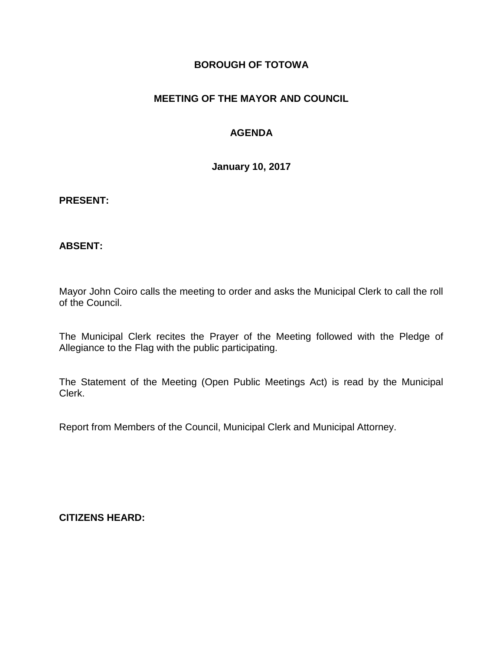### **BOROUGH OF TOTOWA**

# **MEETING OF THE MAYOR AND COUNCIL**

# **AGENDA**

**January 10, 2017**

#### **PRESENT:**

### **ABSENT:**

Mayor John Coiro calls the meeting to order and asks the Municipal Clerk to call the roll of the Council.

The Municipal Clerk recites the Prayer of the Meeting followed with the Pledge of Allegiance to the Flag with the public participating.

The Statement of the Meeting (Open Public Meetings Act) is read by the Municipal Clerk.

Report from Members of the Council, Municipal Clerk and Municipal Attorney.

**CITIZENS HEARD:**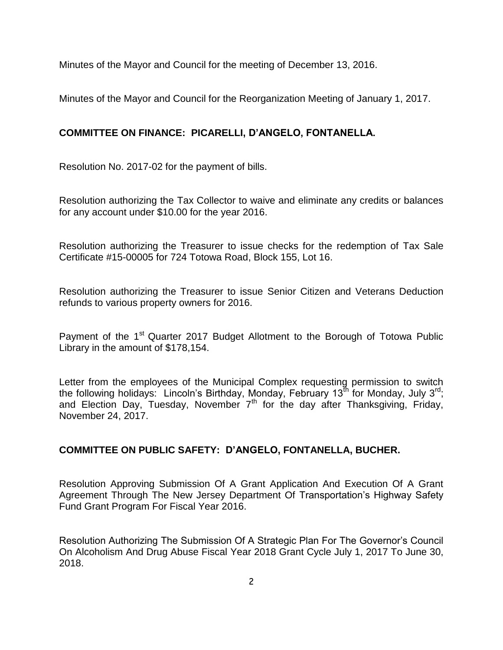Minutes of the Mayor and Council for the meeting of December 13, 2016.

Minutes of the Mayor and Council for the Reorganization Meeting of January 1, 2017.

# **COMMITTEE ON FINANCE: PICARELLI, D'ANGELO, FONTANELLA.**

Resolution No. 2017-02 for the payment of bills.

Resolution authorizing the Tax Collector to waive and eliminate any credits or balances for any account under \$10.00 for the year 2016.

Resolution authorizing the Treasurer to issue checks for the redemption of Tax Sale Certificate #15-00005 for 724 Totowa Road, Block 155, Lot 16.

Resolution authorizing the Treasurer to issue Senior Citizen and Veterans Deduction refunds to various property owners for 2016.

Payment of the 1<sup>st</sup> Quarter 2017 Budget Allotment to the Borough of Totowa Public Library in the amount of \$178,154.

Letter from the employees of the Municipal Complex requesting permission to switch the following holidays: Lincoln's Birthday, Monday, February 13<sup>th</sup> for Monday, July 3<sup>rd</sup>; and Election Day, Tuesday, November  $7<sup>th</sup>$  for the day after Thanksgiving, Friday, November 24, 2017.

### **COMMITTEE ON PUBLIC SAFETY: D'ANGELO, FONTANELLA, BUCHER.**

Resolution Approving Submission Of A Grant Application And Execution Of A Grant Agreement Through The New Jersey Department Of Transportation's Highway Safety Fund Grant Program For Fiscal Year 2016.

Resolution Authorizing The Submission Of A Strategic Plan For The Governor's Council On Alcoholism And Drug Abuse Fiscal Year 2018 Grant Cycle July 1, 2017 To June 30, 2018.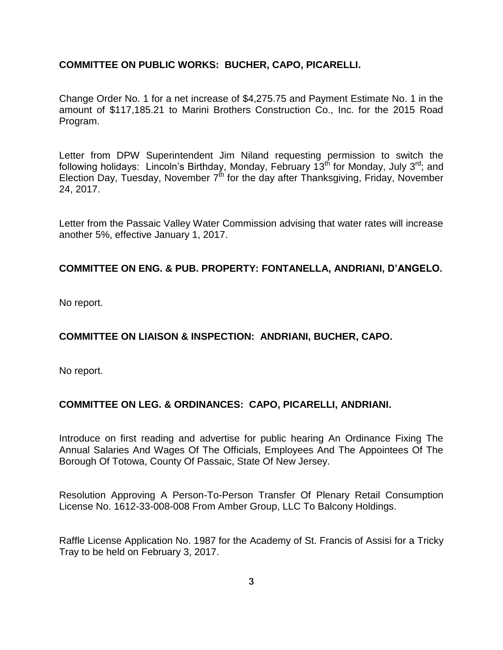### **COMMITTEE ON PUBLIC WORKS: BUCHER, CAPO, PICARELLI.**

Change Order No. 1 for a net increase of \$4,275.75 and Payment Estimate No. 1 in the amount of \$117,185.21 to Marini Brothers Construction Co., Inc. for the 2015 Road Program.

Letter from DPW Superintendent Jim Niland requesting permission to switch the following holidays: Lincoln's Birthday, Monday, February 13<sup>th</sup> for Monday, July 3<sup>rd</sup>; and Election Day, Tuesday, November  $7<sup>th</sup>$  for the day after Thanksgiving, Friday, November 24, 2017.

Letter from the Passaic Valley Water Commission advising that water rates will increase another 5%, effective January 1, 2017.

### **COMMITTEE ON ENG. & PUB. PROPERTY: FONTANELLA, ANDRIANI, D'ANGELO.**

No report.

# **COMMITTEE ON LIAISON & INSPECTION: ANDRIANI, BUCHER, CAPO.**

No report.

### **COMMITTEE ON LEG. & ORDINANCES: CAPO, PICARELLI, ANDRIANI.**

Introduce on first reading and advertise for public hearing An Ordinance Fixing The Annual Salaries And Wages Of The Officials, Employees And The Appointees Of The Borough Of Totowa, County Of Passaic, State Of New Jersey.

Resolution Approving A Person-To-Person Transfer Of Plenary Retail Consumption License No. 1612-33-008-008 From Amber Group, LLC To Balcony Holdings.

Raffle License Application No. 1987 for the Academy of St. Francis of Assisi for a Tricky Tray to be held on February 3, 2017.